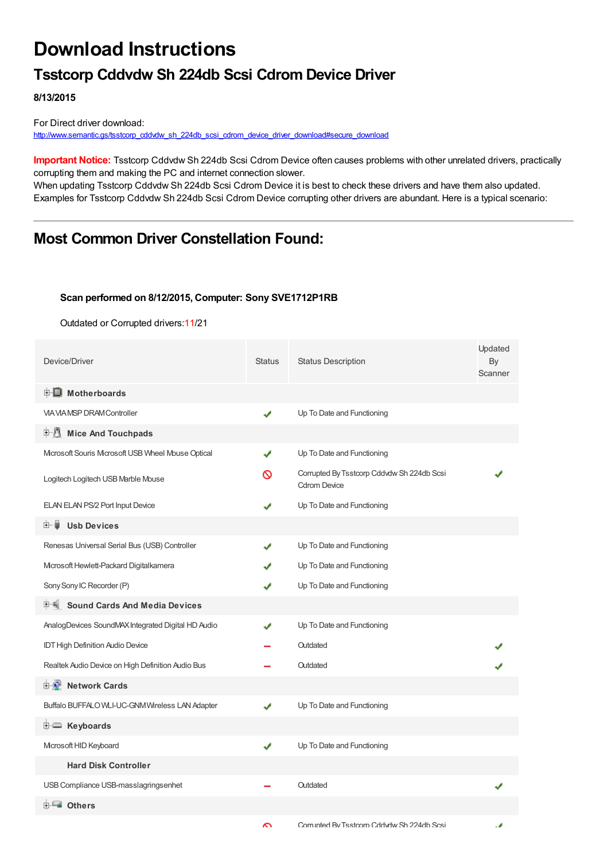## **Download Instructions**

### **Tsstcorp Cddvdw Sh 224db Scsi Cdrom Device Driver**

**8/13/2015**

For Direct driver download: [http://www.semantic.gs/tsstcorp\\_cddvdw\\_sh\\_224db\\_scsi\\_cdrom\\_device\\_driver\\_download#secure\\_download](http://www.semantic.gs/tsstcorp_cddvdw_sh_224db_scsi_cdrom_device_driver_download#secure_download)

**Important Notice:** Tsstcorp Cddvdw Sh 224db Scsi Cdrom Device often causes problems with other unrelated drivers, practically corrupting them and making the PC and internet connection slower.

When updating Tsstcorp Cddvdw Sh 224db Scsi Cdrom Device it is best to check these drivers and have them also updated. Examples for Tsstcorp Cddvdw Sh 224db Scsi Cdrom Device corrupting other drivers are abundant. Here is a typical scenario:

### **Most Common Driver Constellation Found:**

#### **Scan performed on 8/12/2015, Computer: Sony SVE1712P1RB**

Outdated or Corrupted drivers:11/21

| Device/Driver                                      | <b>Status</b> | <b>Status Description</b>                                         | Updated<br>By<br>Scanner |
|----------------------------------------------------|---------------|-------------------------------------------------------------------|--------------------------|
| <b>E</b> Motherboards                              |               |                                                                   |                          |
| <b>VIA VIA MSP DRAM Controller</b>                 | ✔             | Up To Date and Functioning                                        |                          |
| 中心<br><b>Mice And Touchpads</b>                    |               |                                                                   |                          |
| Mcrosoft Souris Mcrosoft USB Wheel Mouse Optical   | ✔             | Up To Date and Functioning                                        |                          |
| Logitech Logitech USB Marble Mouse                 | ര             | Corrupted By Tsstcorp Cddvdw Sh 224db Scsi<br><b>Cdrom Device</b> |                          |
| ELAN ELAN PS/2 Port Input Device                   |               | Up To Date and Functioning                                        |                          |
| <b>Usb Devices</b><br>⊞…■                          |               |                                                                   |                          |
| Renesas Universal Serial Bus (USB) Controller      |               | Up To Date and Functioning                                        |                          |
| Mcrosoft Hewlett-Packard Digitalkamera             |               | Up To Date and Functioning                                        |                          |
| Sony Sony IC Recorder (P)                          |               | Up To Date and Functioning                                        |                          |
| <b>Sound Cards And Media Devices</b>               |               |                                                                   |                          |
| AnalogDevices SoundMAX Integrated Digital HD Audio | ✔             | Up To Date and Functioning                                        |                          |
| IDT High Definition Audio Device                   |               | Outdated                                                          |                          |
| Realtek Audio Device on High Definition Audio Bus  |               | Outdated                                                          |                          |
| <b>E-2</b> Network Cards                           |               |                                                                   |                          |
| Buffalo BUFFALO WLI-UC-GNM Wireless LAN Adapter    | J             | Up To Date and Functioning                                        |                          |
| E Keyboards                                        |               |                                                                   |                          |
| Microsoft HID Keyboard                             | J             | Up To Date and Functioning                                        |                          |
| <b>Hard Disk Controller</b>                        |               |                                                                   |                          |
| USB Compliance USB-masslagringsenhet               |               | Outdated                                                          |                          |
| 白一■ Others                                         |               |                                                                   |                          |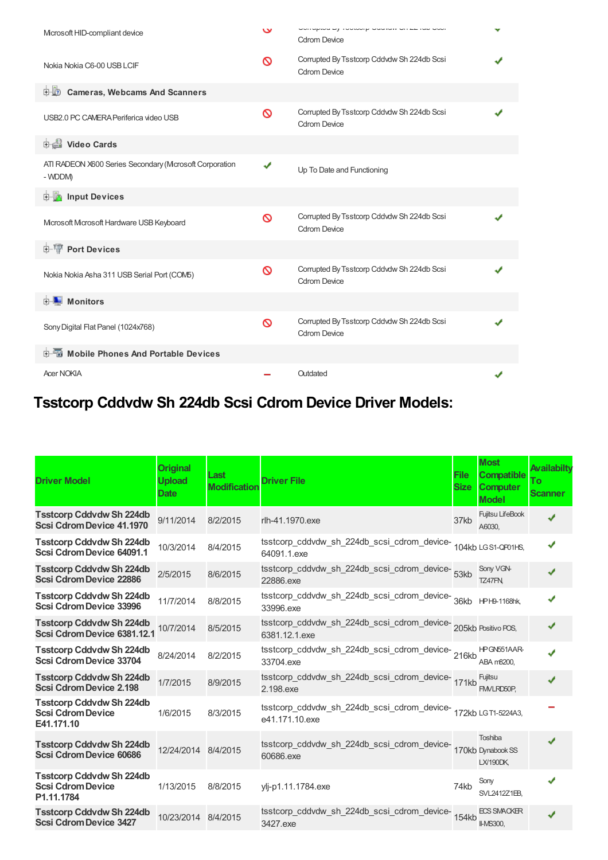| Microsoft HID-compliant device                                    | $\mathbf v$ | Unimplied by Toolway University Office Transform<br><b>Cdrom Device</b> |  |
|-------------------------------------------------------------------|-------------|-------------------------------------------------------------------------|--|
| Nokia Nokia C6-00 USB LCIF                                        | ∾           | Corrupted By Tsstcorp Cddvdw Sh 224db Scsi<br><b>Cdrom Device</b>       |  |
| <b>Cameras, Webcams And Scanners</b><br>由心                        |             |                                                                         |  |
| USB2.0 PC CAMERA Periferica video USB                             | ∾           | Corrupted By Tsstcorp Cddvdw Sh 224db Scsi<br><b>Cdrom Device</b>       |  |
| Video Cards                                                       |             |                                                                         |  |
| ATI RADEON X600 Series Secondary (Mcrosoft Corporation<br>- WDDM) | ✔           | Up To Date and Functioning                                              |  |
| input Devices                                                     |             |                                                                         |  |
| Microsoft Microsoft Hardware USB Keyboard                         | Ø           | Corrupted By Tsstcorp Cddvdw Sh 224db Scsi<br><b>Cdrom Device</b>       |  |
| <b>E-</b> Port Devices                                            |             |                                                                         |  |
| Nokia Nokia Asha 311 USB Serial Port (COM5)                       | $\infty$    | Corrupted By Tsstcorp Cddvdw Sh 224db Scsi<br><b>Cdrom Device</b>       |  |
| <b>E</b> Monitors                                                 |             |                                                                         |  |
| Sony Digital Flat Panel (1024x768)                                | Ø           | Corrupted By Tsstcorp Cddvdw Sh 224db Scsi<br><b>Cdrom Device</b>       |  |
| <b>E-</b> Mobile Phones And Portable Devices                      |             |                                                                         |  |
| <b>Acer NOKIA</b>                                                 |             | Outdated                                                                |  |

# **Tsstcorp Cddvdw Sh 224db Scsi Cdrom Device Driver Models:**

| <b>Driver Model</b>                                                       | <b>Original</b><br><b>Upload</b><br><b>Date</b> | Last<br><b>Modification</b> | <b>Driver File</b>                                                                  | <b>File</b><br><b>Size</b> | <b>Most</b><br><b>Compatible</b><br><b>Computer</b><br><b>Model</b> | Availabilty<br>Τo<br><b>Scanner</b> |
|---------------------------------------------------------------------------|-------------------------------------------------|-----------------------------|-------------------------------------------------------------------------------------|----------------------------|---------------------------------------------------------------------|-------------------------------------|
| <b>Tsstcorp Cddvdw Sh 224db</b><br><b>Scsi Cdrom Device 41.1970</b>       | 9/11/2014                                       | 8/2/2015                    | rlh-41.1970.exe                                                                     | 37kb                       | Fujitsu LifeBook<br>A6030,                                          |                                     |
| <b>Tsstcorp Cddvdw Sh 224db</b><br>Scsi Cdrom Device 64091.1              | 10/3/2014                                       | 8/4/2015                    | tsstcorp_cddvdw_sh_224db_scsi_cdrom_device- 104kb LGS1-QP01HS,<br>64091.1.exe       |                            |                                                                     | J                                   |
| <b>Tsstcorp Cddvdw Sh 224db</b><br><b>Scsi Cdrom Device 22886</b>         | 2/5/2015                                        | 8/6/2015                    | tsstcorp_cddvdw_sh_224db_scsi_cdrom_device-<br>53kb<br>22886.exe                    |                            | Sony VGN-<br>TZ47FN.                                                |                                     |
| <b>Tsstcorp Cddvdw Sh 224db</b><br><b>Scsi Cdrom Device 33996</b>         | 11/7/2014                                       | 8/8/2015                    | tsstcorp_cddvdw_sh_224db_scsi_cdrom_device-<br>36kb HPH9-1168hk,<br>33996.exe       |                            |                                                                     | J                                   |
| <b>Tsstcorp Cddvdw Sh 224db</b><br>Scsi Cdrom Device 6381.12.1            | 10/7/2014                                       | 8/5/2015                    | tsstcorp_cddvdw_sh_224db_scsi_cdrom_device-<br>205kb Positivo POS,<br>6381.12.1.exe |                            |                                                                     | ✔                                   |
| <b>Tsstcorp Cddvdw Sh 224db</b><br><b>Scsi Cdrom Device 33704</b>         | 8/24/2014                                       | 8/2/2015                    | tsstcorp_cddvdw_sh_224db_scsi_cdrom_device-216kb<br>33704.exe                       |                            | HPGN551AAR-<br>ABA m8200,                                           |                                     |
| <b>Tsstcorp Cddvdw Sh 224db</b><br><b>Scsi Cdrom Device 2.198</b>         | 1/7/2015                                        | 8/9/2015                    | tsstcorp_cddvdw_sh_224db_scsi_cdrom_device-<br>171kb<br>2.198.exe                   |                            | Fujitsu<br>FMVLRD50P.                                               |                                     |
| <b>Tsstcorp Cddvdw Sh 224db</b><br><b>Scsi Cdrom Device</b><br>E41.171.10 | 1/6/2015                                        | 8/3/2015                    | tsstcorp_cddvdw_sh_224db_scsi_cdrom_device-172kb LGT1-5224A3,<br>e41.171.10.exe     |                            |                                                                     |                                     |
| <b>Tsstcorp Cddvdw Sh 224db</b><br><b>Scsi Cdrom Device 60686</b>         | 12/24/2014 8/4/2015                             |                             | tsstcorp_cddvdw_sh_224db_scsi_cdrom_device-<br>170kb Dynabook SS<br>60686.exe       |                            | Toshiba<br>LX/190DK,                                                | J                                   |
| <b>Tsstcorp Cddvdw Sh 224db</b><br><b>Scsi Cdrom Device</b><br>P1.11.1784 | 1/13/2015                                       | 8/8/2015                    | ylj-p1.11.1784.exe                                                                  | 74kb                       | Sony<br>SVL2412Z1EB,                                                |                                     |
| <b>Tsstcorp Cddvdw Sh 224db</b><br><b>Scsi Cdrom Device 3427</b>          | 10/23/2014 8/4/2015                             |                             | tsstcorp_cddvdw_sh_224db_scsi_cdrom_device-<br>154kb<br>3427.exe                    |                            | <b>ECS SMACKER</b><br>II-MS300,                                     | J                                   |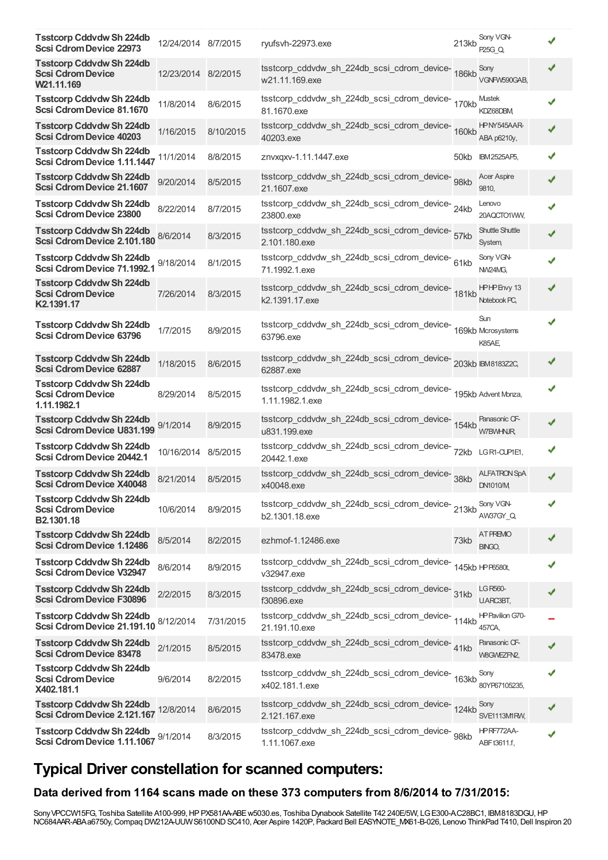| <b>Tsstcorp Cddvdw Sh 224db</b><br><b>Scsi Cdrom Device 22973</b>          | 12/24/2014 8/7/2015 |           | ryufsvh-22973.exe                                                                     | 213kb | Sony VGN-<br>P25G Q.                   |  |
|----------------------------------------------------------------------------|---------------------|-----------|---------------------------------------------------------------------------------------|-------|----------------------------------------|--|
| <b>Tsstcorp Cddvdw Sh 224db</b><br><b>Scsi Cdrom Device</b><br>W21.11.169  | 12/23/2014 8/2/2015 |           | tsstcorp_cddvdw_sh_224db_scsi_cdrom_device-<br>186kb<br>w21.11.169.exe                |       | Sony<br>VGNFW590GAB,                   |  |
| <b>Tsstcorp Cddvdw Sh 224db</b><br>Scsi Cdrom Device 81.1670               | 11/8/2014           | 8/6/2015  | tsstcorp_cddvdw_sh_224db_scsi_cdrom_device-<br>170kb<br>81.1670.exe                   |       | <b>Mustek</b><br>KDZ68DBM              |  |
| <b>Tsstcorp Cddvdw Sh 224db</b><br><b>Scsi Cdrom Device 40203</b>          | 1/16/2015           | 8/10/2015 | tsstcorp_cddvdw_sh_224db_scsi_cdrom_device-160kb<br>40203.exe                         |       | HPNY545AAR-<br>ABA p6210y,             |  |
| <b>Tsstcorp Cddvdw Sh 224db</b><br>Scsi Cdrom Device 1.11.1447             | 11/1/2014           | 8/8/2015  | znvxgxv-1.11.1447.exe                                                                 | 50kb  | <b>IBM2525AP5,</b>                     |  |
| <b>Tsstcorp Cddvdw Sh 224db</b><br>Scsi Cdrom Device 21.1607               | 9/20/2014           | 8/5/2015  | tsstcorp_cddvdw_sh_224db_scsi_cdrom_device- 98kb<br>21.1607.exe                       |       | <b>Acer Aspire</b><br>9810,            |  |
| <b>Tsstcorp Cddvdw Sh 224db</b><br>Scsi Cdrom Device 23800                 | 8/22/2014           | 8/7/2015  | tsstcorp_cddvdw_sh_224db_scsi_cdrom_device-24kb<br>23800.exe                          |       | Lenovo<br>20AQCTO1VWV,                 |  |
| <b>Tsstcorp Cddvdw Sh 224db</b><br>Scsi Cdrom Device 2.101.180             | 8/6/2014            | 8/3/2015  | tsstcorp_cddvdw_sh_224db_scsi_cdrom_device-<br>57kb<br>2.101.180.exe                  |       | Shuttle Shuttle<br>System,             |  |
| <b>Tsstcorp Cddvdw Sh 224db</b><br>Scsi Cdrom Device 71.1992.1             | 9/18/2014           | 8/1/2015  | tsstcorp_cddvdw_sh_224db_scsi_cdrom_device-61kb<br>71.1992.1.exe                      |       | Sony VGN-<br>NW24MG.                   |  |
| <b>Tsstcorp Cddvdw Sh 224db</b><br><b>Scsi Cdrom Device</b><br>K2.1391.17  | 7/26/2014           | 8/3/2015  | tsstcorp_cddvdw_sh_224db_scsi_cdrom_device-181kb<br>k2.1391.17.exe                    |       | HPHPEnvy 13<br>Notebook PC,            |  |
| <b>Tsstcorp Cddvdw Sh 224db</b><br>Scsi Cdrom Device 63796                 | 1/7/2015            | 8/9/2015  | tsstcorp_cddvdw_sh_224db_scsi_cdrom_device-<br>169kb Mcrosystems<br>63796.exe         |       | Sun<br>K85AE                           |  |
| <b>Tsstcorp Cddvdw Sh 224db</b><br><b>Scsi Cdrom Device 62887</b>          | 1/18/2015           | 8/6/2015  | tsstcorp_cddvdw_sh_224db_scsi_cdrom_device-203kb BM818322C,<br>62887.exe              |       |                                        |  |
| <b>Tsstcorp Cddvdw Sh 224db</b><br><b>Scsi Cdrom Device</b><br>1.11.1982.1 | 8/29/2014           | 8/5/2015  | tsstcorp_cddvdw_sh_224db_scsi_cdrom_device-<br>195kb Advent Monza,<br>1.11.1982.1.exe |       |                                        |  |
| <b>Tsstcorp Cddvdw Sh 224db</b><br>Scsi Cdrom Device U831.199              | 9/1/2014            | 8/9/2015  | tsstcorp_cddvdw_sh_224db_scsi_cdrom_device-154kb<br>u831.199.exe                      |       | Panasonic CF-<br><b>W7BWHNJR</b>       |  |
| <b>Tsstcorp Cddvdw Sh 224db</b><br>Scsi Cdrom Device 20442.1               | 10/16/2014 8/5/2015 |           | tsstcorp_cddvdw_sh_224db_scsi_cdrom_device-<br>72kb<br>20442.1.exe                    |       | LGR1-CUPIE1,                           |  |
| <b>Tsstcorp Cddvdw Sh 224db</b><br><b>Scsi Cdrom Device X40048</b>         | 8/21/2014           | 8/5/2015  | tsstcorp_cddvdw_sh_224db_scsi_cdrom_device-<br>x40048.exe                             | 38kb  | <b>ALFATRON SpA</b><br><b>DN1010/M</b> |  |
| <b>Tsstcorp Cddvdw Sh 224db</b><br><b>Scsi Cdrom Device</b><br>B2.1301.18  | 10/6/2014           | 8/9/2015  | tsstcorp_cddvdw_sh_224db_scsi_cdrom_device-<br>213kb<br>b2.1301.18.exe                |       | Sony VGN-<br>AW37GY Q                  |  |
| <b>Tsstcorp Cddvdw Sh 224db</b><br>Scsi Cdrom Device 1.12486               | 8/5/2014            | 8/2/2015  | ezhmof-1.12486.exe                                                                    | 73kb  | AT PREMO<br><b>BINGO,</b>              |  |
| <b>Tsstcorp Cddvdw Sh 224db</b><br>Scsi Cdrom Device V32947                | 8/6/2014            | 8/9/2015  | tsstcorp_cddvdw_sh_224db_scsi_cdrom_device-<br>145kb HPF6580t,<br>v32947.exe          |       |                                        |  |
| <b>Tsstcorp Cddvdw Sh 224db</b><br><b>Scsi Cdrom Device F30896</b>         | 2/2/2015            | 8/3/2015  | tsstcorp_cddvdw_sh_224db_scsi_cdrom_device-<br>31kb<br>f30896.exe                     |       | <b>LG R560-</b><br>U.ARC3BT,           |  |
| <b>Tsstcorp Cddvdw Sh 224db</b><br>Scsi Cdrom Device 21.191.10             | 8/12/2014           | 7/31/2015 | tsstcorp_cddvdw_sh_224db_scsi_cdrom_device-<br>114kb<br>21.191.10.exe                 |       | <b>HP Pavilion G70-</b><br>457CA,      |  |
| <b>Tsstcorp Cddvdw Sh 224db</b><br><b>Scsi Cdrom Device 83478</b>          | 2/1/2015            | 8/5/2015  | tsstcorp_cddvdw_sh_224db_scsi_cdrom_device-41kb<br>83478.exe                          |       | Panasonic CF-<br>W8GWEZFN2,            |  |
| <b>Tsstcorp Cddvdw Sh 224db</b><br><b>Scsi Cdrom Device</b><br>X402.181.1  | 9/6/2014            | 8/2/2015  | tsstcorp_cddvdw_sh_224db_scsi_cdrom_device-<br>163kb<br>x402.181.1.exe                |       | Sony<br>80YP67105235,                  |  |
| <b>Tsstcorp Cddvdw Sh 224db</b><br>Scsi Cdrom Device 2.121.167             | 12/8/2014           | 8/6/2015  | tsstcorp_cddvdw_sh_224db_scsi_cdrom_device-124kb<br>2.121.167.exe                     |       | Sony<br>SVE1113MIRW,                   |  |
| <b>Tsstcorp Cddvdw Sh 224db</b><br>Scsi Cdrom Device 1.11.1067 9/1/2014    |                     | 8/3/2015  | tsstcorp_cddvdw_sh_224db_scsi_cdrom_device- 98kb<br>1.11.1067.exe                     |       | HPRF772AA-<br>ABF t3611.f,             |  |

## **Typical Driver constellation for scanned computers:**

#### **Data derived from 1164 scans made on these 373 computers from 8/6/2014 to 7/31/2015:**

Sony VPCCW15FG, Toshiba Satellite A100-999, HP PX581AA-ABE w5030.es, Toshiba Dynabook Satellite T42 240E/5W, LG E300-AC28BC1, IBM8183DGU, HP NC684AAR-ABAa6750y,Compaq DW212A-UUWS6100NDSC410, Acer Aspire 1420P, Packard Bell EASYNOTE\_MX61-B-026, Lenovo ThinkPad T410,Dell Inspiron 20